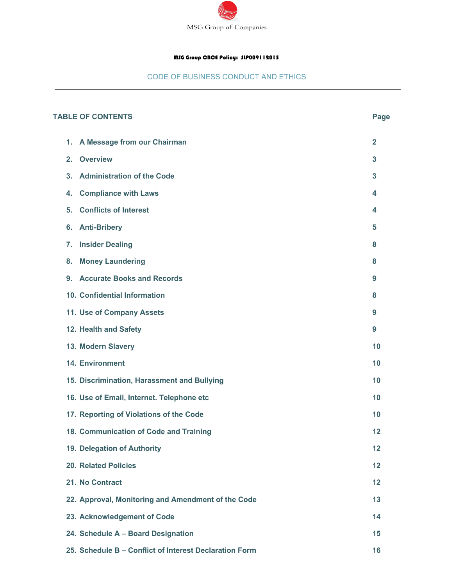

## MSG Group CBCE Policy: SLP009112015

## CODE OF BUSINESS CONDUCT AND ETHICS

| <b>TABLE OF CONTENTS</b> |    |                                                        | Page           |
|--------------------------|----|--------------------------------------------------------|----------------|
|                          | 1. | A Message from our Chairman                            | $\overline{2}$ |
|                          | 2. | <b>Overview</b>                                        | 3              |
|                          | 3. | <b>Administration of the Code</b>                      | 3              |
|                          | 4. | <b>Compliance with Laws</b>                            | 4              |
|                          | 5. | <b>Conflicts of Interest</b>                           | 4              |
|                          | 6. | <b>Anti-Bribery</b>                                    | 5              |
|                          | 7. | <b>Insider Dealing</b>                                 | 8              |
|                          | 8. | <b>Money Laundering</b>                                | 8              |
|                          | 9. | <b>Accurate Books and Records</b>                      | 9              |
|                          |    | 10. Confidential Information                           | 8              |
|                          |    | 11. Use of Company Assets                              | 9              |
|                          |    | 12. Health and Safety                                  | 9              |
|                          |    | 13. Modern Slavery                                     | 10             |
|                          |    | <b>14. Environment</b>                                 | 10             |
|                          |    | 15. Discrimination, Harassment and Bullying            | 10             |
|                          |    | 16. Use of Email, Internet. Telephone etc              | 10             |
|                          |    | 17. Reporting of Violations of the Code                | 10             |
|                          |    | 18. Communication of Code and Training                 | 12             |
|                          |    | 19. Delegation of Authority                            | 12             |
|                          |    | <b>20. Related Policies</b>                            | 12             |
|                          |    | 21. No Contract                                        | 12             |
|                          |    | 22. Approval, Monitoring and Amendment of the Code     | 13             |
|                          |    | 23. Acknowledgement of Code                            | 14             |
|                          |    | 24. Schedule A - Board Designation                     | 15             |
|                          |    | 25. Schedule B - Conflict of Interest Declaration Form | 16             |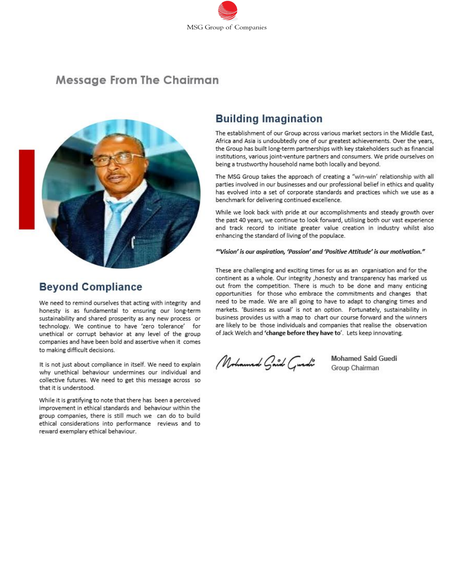

# **Message From The Chairman**



# **Building Imagination**

The establishment of our Group across various market sectors in the Middle East. Africa and Asia is undoubtedly one of our greatest achievements. Over the years, the Group has built long-term partnerships with key stakeholders such as financial institutions, various joint-venture partners and consumers. We pride ourselves on being a trustworthy household name both locally and beyond.

The MSG Group takes the approach of creating a "win-win' relationship with all parties involved in our businesses and our professional belief in ethics and quality has evolved into a set of corporate standards and practices which we use as a benchmark for delivering continued excellence.

While we look back with pride at our accomplishments and steady growth over the past 40 years, we continue to look forward, utilising both our vast experience and track record to initiate greater value creation in industry whilst also enhancing the standard of living of the populace.

#### "Vision' is our aspiration, 'Passion' and 'Positive Attitude' is our motivation."

These are challenging and exciting times for us as an organisation and for the continent as a whole. Our integrity , honesty and transparency has marked us out from the competition. There is much to be done and many enticing opportunities for those who embrace the commitments and changes that need to be made. We are all going to have to adapt to changing times and markets. 'Business as usual' is not an option. Fortunately, sustainability in business provides us with a map to chart our course forward and the winners are likely to be those individuals and companies that realise the observation of Jack Welch and 'change before they have to'. Lets keep innovating.

Mohamed Gaid Guedi

**Mohamed Said Guedi** Group Chairman

# **Beyond Compliance**

We need to remind ourselves that acting with integrity and honesty is as fundamental to ensuring our long-term sustainability and shared prosperity as any new process or technology. We continue to have 'zero tolerance' for unethical or corrupt behavior at any level of the group companies and have been bold and assertive when it comes to making difficult decisions.

It is not just about compliance in itself. We need to explain why unethical behaviour undermines our individual and collective futures. We need to get this message across so that it is understood.

While it is gratifying to note that there has been a perceived improvement in ethical standards and behaviour within the group companies, there is still much we can do to build ethical considerations into performance reviews and to reward exemplary ethical behaviour.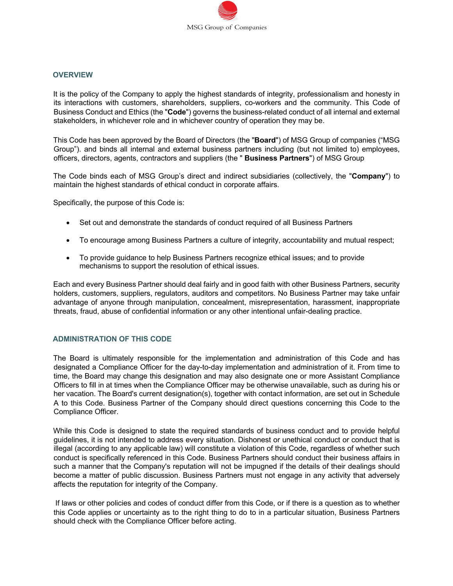

#### **OVERVIEW**

It is the policy of the Company to apply the highest standards of integrity, professionalism and honesty in its interactions with customers, shareholders, suppliers, co-workers and the community. This Code of Business Conduct and Ethics (the "**Code**") governs the business-related conduct of all internal and external stakeholders, in whichever role and in whichever country of operation they may be.

This Code has been approved by the Board of Directors (the "**Board**") of MSG Group of companies ("MSG Group"). and binds all internal and external business partners including (but not limited to) employees, officers, directors, agents, contractors and suppliers (the " **Business Partners**") of MSG Group

The Code binds each of MSG Group's direct and indirect subsidiaries (collectively, the "**Company**") to maintain the highest standards of ethical conduct in corporate affairs.

Specifically, the purpose of this Code is:

- Set out and demonstrate the standards of conduct required of all Business Partners
- To encourage among Business Partners a culture of integrity, accountability and mutual respect;
- To provide guidance to help Business Partners recognize ethical issues; and to provide mechanisms to support the resolution of ethical issues.

Each and every Business Partner should deal fairly and in good faith with other Business Partners, security holders, customers, suppliers, regulators, auditors and competitors. No Business Partner may take unfair advantage of anyone through manipulation, concealment, misrepresentation, harassment, inappropriate threats, fraud, abuse of confidential information or any other intentional unfair-dealing practice.

#### **ADMINISTRATION OF THIS CODE**

The Board is ultimately responsible for the implementation and administration of this Code and has designated a Compliance Officer for the day-to-day implementation and administration of it. From time to time, the Board may change this designation and may also designate one or more Assistant Compliance Officers to fill in at times when the Compliance Officer may be otherwise unavailable, such as during his or her vacation. The Board's current designation(s), together with contact information, are set out in Schedule A to this Code. Business Partner of the Company should direct questions concerning this Code to the Compliance Officer.

While this Code is designed to state the required standards of business conduct and to provide helpful guidelines, it is not intended to address every situation. Dishonest or unethical conduct or conduct that is illegal (according to any applicable law) will constitute a violation of this Code, regardless of whether such conduct is specifically referenced in this Code. Business Partners should conduct their business affairs in such a manner that the Company's reputation will not be impugned if the details of their dealings should become a matter of public discussion. Business Partners must not engage in any activity that adversely affects the reputation for integrity of the Company.

If laws or other policies and codes of conduct differ from this Code, or if there is a question as to whether this Code applies or uncertainty as to the right thing to do to in a particular situation, Business Partners should check with the Compliance Officer before acting.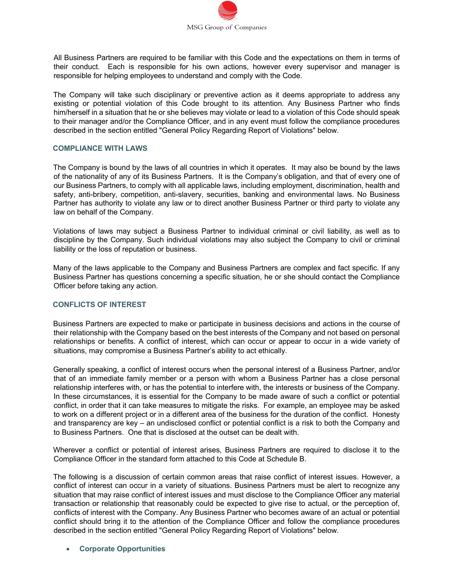

All Business Partners are required to be familiar with this Code and the expectations on them in terms of their conduct. Each is responsible for his own actions, however every supervisor and manager is responsible for helping employees to understand and comply with the Code.

The Company will take such disciplinary or preventive action as it deems appropriate to address any existing or potential violation of this Code brought to its attention. Any Business Partner who finds him/herself in a situation that he or she believes may violate or lead to a violation of this Code should speak to their manager and/or the Compliance Officer, and in any event must follow the compliance procedures described in the section entitled "General Policy Regarding Report of Violations" below.

#### **COMPLIANCE WITH LAWS**

The Company is bound by the laws of all countries in which it operates. It may also be bound by the laws of the nationality of any of its Business Partners. It is the Company's obligation, and that of every one of our Business Partners, to comply with all applicable laws, including employment, discrimination, health and safety, anti-bribery, competition, anti-slavery, securities, banking and environmental laws. No Business Partner has authority to violate any law or to direct another Business Partner or third party to violate any law on behalf of the Company.

Violations of laws may subject a Business Partner to individual criminal or civil liability, as well as to discipline by the Company. Such individual violations may also subject the Company to civil or criminal liability or the loss of reputation or business.

Many of the laws applicable to the Company and Business Partners are complex and fact specific. If any Business Partner has questions concerning a specific situation, he or she should contact the Compliance Officer before taking any action.

#### **CONFLICTS OF INTEREST**

Business Partners are expected to make or participate in business decisions and actions in the course of their relationship with the Company based on the best interests of the Company and not based on personal relationships or benefits. A conflict of interest, which can occur or appear to occur in a wide variety of situations, may compromise a Business Partner's ability to act ethically.

Generally speaking, a conflict of interest occurs when the personal interest of a Business Partner, and/or that of an immediate family member or a person with whom a Business Partner has a close personal relationship interferes with, or has the potential to interfere with, the interests or business of the Company. In these circumstances, it is essential for the Company to be made aware of such a conflict or potential conflict, in order that it can take measures to mitigate the risks. For example, an employee may be asked to work on a different project or in a different area of the business for the duration of the conflict. Honesty and transparency are key – an undisclosed conflict or potential conflict is a risk to both the Company and to Business Partners. One that is disclosed at the outset can be dealt with.

Wherever a conflict or potential of interest arises, Business Partners are required to disclose it to the Compliance Officer in the standard form attached to this Code at Schedule B.

The following is a discussion of certain common areas that raise conflict of interest issues. However, a conflict of interest can occur in a variety of situations. Business Partners must be alert to recognize any situation that may raise conflict of interest issues and must disclose to the Compliance Officer any material transaction or relationship that reasonably could be expected to give rise to actual, or the perception of, conflicts of interest with the Company. Any Business Partner who becomes aware of an actual or potential conflict should bring it to the attention of the Compliance Officer and follow the compliance procedures described in the section entitled "General Policy Regarding Report of Violations" below.

#### • **Corporate Opportunities**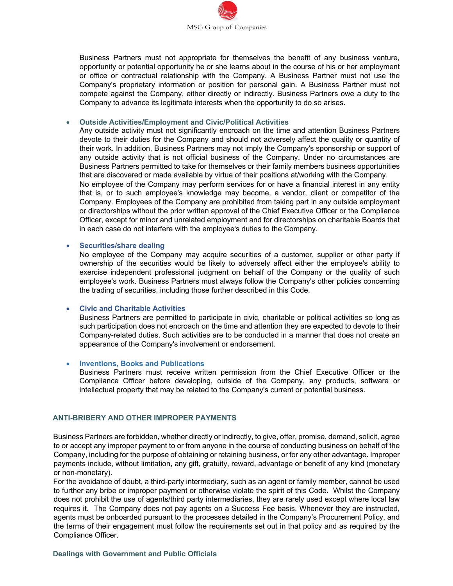

Business Partners must not appropriate for themselves the benefit of any business venture, opportunity or potential opportunity he or she learns about in the course of his or her employment or office or contractual relationship with the Company. A Business Partner must not use the Company's proprietary information or position for personal gain. A Business Partner must not compete against the Company, either directly or indirectly. Business Partners owe a duty to the Company to advance its legitimate interests when the opportunity to do so arises.

#### • **Outside Activities/Employment and Civic/Political Activities**

in each case do not interfere with the employee's duties to the Company.

Any outside activity must not significantly encroach on the time and attention Business Partners devote to their duties for the Company and should not adversely affect the quality or quantity of their work. In addition, Business Partners may not imply the Company's sponsorship or support of any outside activity that is not official business of the Company. Under no circumstances are Business Partners permitted to take for themselves or their family members business opportunities that are discovered or made available by virtue of their positions at/working with the Company. No employee of the Company may perform services for or have a financial interest in any entity that is, or to such employee's knowledge may become, a vendor, client or competitor of the Company. Employees of the Company are prohibited from taking part in any outside employment or directorships without the prior written approval of the Chief Executive Officer or the Compliance Officer, except for minor and unrelated employment and for directorships on charitable Boards that

#### • **Securities/share dealing**

No employee of the Company may acquire securities of a customer, supplier or other party if ownership of the securities would be likely to adversely affect either the employee's ability to exercise independent professional judgment on behalf of the Company or the quality of such employee's work. Business Partners must always follow the Company's other policies concerning the trading of securities, including those further described in this Code.

#### • **Civic and Charitable Activities**

Business Partners are permitted to participate in civic, charitable or political activities so long as such participation does not encroach on the time and attention they are expected to devote to their Company-related duties. Such activities are to be conducted in a manner that does not create an appearance of the Company's involvement or endorsement.

#### • **Inventions, Books and Publications**

Business Partners must receive written permission from the Chief Executive Officer or the Compliance Officer before developing, outside of the Company, any products, software or intellectual property that may be related to the Company's current or potential business.

#### **ANTI-BRIBERY AND OTHER IMPROPER PAYMENTS**

Business Partners are forbidden, whether directly or indirectly, to give, offer, promise, demand, solicit, agree to or accept any improper payment to or from anyone in the course of conducting business on behalf of the Company, including for the purpose of obtaining or retaining business, or for any other advantage. Improper payments include, without limitation, any gift, gratuity, reward, advantage or benefit of any kind (monetary or non-monetary).

For the avoidance of doubt, a third-party intermediary, such as an agent or family member, cannot be used to further any bribe or improper payment or otherwise violate the spirit of this Code. Whilst the Company does not prohibit the use of agents/third party intermediaries, they are rarely used except where local law requires it. The Company does not pay agents on a Success Fee basis. Whenever they are instructed, agents must be onboarded pursuant to the processes detailed in the Company's Procurement Policy, and the terms of their engagement must follow the requirements set out in that policy and as required by the Compliance Officer.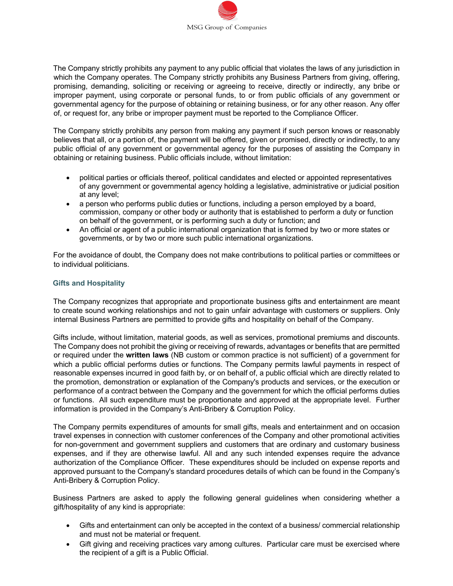

The Company strictly prohibits any payment to any public official that violates the laws of any jurisdiction in which the Company operates. The Company strictly prohibits any Business Partners from giving, offering, promising, demanding, soliciting or receiving or agreeing to receive, directly or indirectly, any bribe or improper payment, using corporate or personal funds, to or from public officials of any government or governmental agency for the purpose of obtaining or retaining business, or for any other reason. Any offer of, or request for, any bribe or improper payment must be reported to the Compliance Officer.

The Company strictly prohibits any person from making any payment if such person knows or reasonably believes that all, or a portion of, the payment will be offered, given or promised, directly or indirectly, to any public official of any government or governmental agency for the purposes of assisting the Company in obtaining or retaining business. Public officials include, without limitation:

- political parties or officials thereof, political candidates and elected or appointed representatives of any government or governmental agency holding a legislative, administrative or judicial position at any level;
- a person who performs public duties or functions, including a person employed by a board, commission, company or other body or authority that is established to perform a duty or function on behalf of the government, or is performing such a duty or function; and
- An official or agent of a public international organization that is formed by two or more states or governments, or by two or more such public international organizations.

For the avoidance of doubt, the Company does not make contributions to political parties or committees or to individual politicians.

## **Gifts and Hospitality**

The Company recognizes that appropriate and proportionate business gifts and entertainment are meant to create sound working relationships and not to gain unfair advantage with customers or suppliers. Only internal Business Partners are permitted to provide gifts and hospitality on behalf of the Company.

Gifts include, without limitation, material goods, as well as services, promotional premiums and discounts. The Company does not prohibit the giving or receiving of rewards, advantages or benefits that are permitted or required under the **written laws** (NB custom or common practice is not sufficient) of a government for which a public official performs duties or functions. The Company permits lawful payments in respect of reasonable expenses incurred in good faith by, or on behalf of, a public official which are directly related to the promotion, demonstration or explanation of the Company's products and services, or the execution or performance of a contract between the Company and the government for which the official performs duties or functions. All such expenditure must be proportionate and approved at the appropriate level. Further information is provided in the Company's Anti-Bribery & Corruption Policy.

The Company permits expenditures of amounts for small gifts, meals and entertainment and on occasion travel expenses in connection with customer conferences of the Company and other promotional activities for non-government and government suppliers and customers that are ordinary and customary business expenses, and if they are otherwise lawful. All and any such intended expenses require the advance authorization of the Compliance Officer. These expenditures should be included on expense reports and approved pursuant to the Company's standard procedures details of which can be found in the Company's Anti-Bribery & Corruption Policy.

Business Partners are asked to apply the following general guidelines when considering whether a gift/hospitality of any kind is appropriate:

- Gifts and entertainment can only be accepted in the context of a business/ commercial relationship and must not be material or frequent.
- Gift giving and receiving practices vary among cultures. Particular care must be exercised where the recipient of a gift is a Public Official.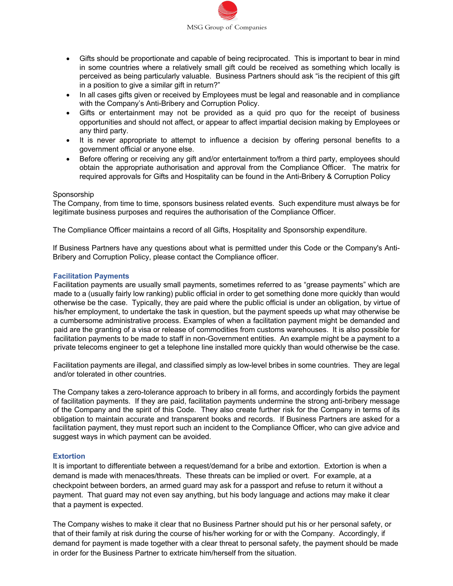

- Gifts should be proportionate and capable of being reciprocated. This is important to bear in mind in some countries where a relatively small gift could be received as something which locally is perceived as being particularly valuable. Business Partners should ask "is the recipient of this gift in a position to give a similar gift in return?"
- In all cases gifts given or received by Employees must be legal and reasonable and in compliance with the Company's Anti-Bribery and Corruption Policy.
- Gifts or entertainment may not be provided as a quid pro quo for the receipt of business opportunities and should not affect, or appear to affect impartial decision making by Employees or any third party.
- It is never appropriate to attempt to influence a decision by offering personal benefits to a government official or anyone else.
- Before offering or receiving any gift and/or entertainment to/from a third party, employees should obtain the appropriate authorisation and approval from the Compliance Officer. The matrix for required approvals for Gifts and Hospitality can be found in the Anti-Bribery & Corruption Policy

#### Sponsorship

The Company, from time to time, sponsors business related events. Such expenditure must always be for legitimate business purposes and requires the authorisation of the Compliance Officer.

The Compliance Officer maintains a record of all Gifts, Hospitality and Sponsorship expenditure.

If Business Partners have any questions about what is permitted under this Code or the Company's Anti-Bribery and Corruption Policy, please contact the Compliance officer.

#### **Facilitation Payments**

Facilitation payments are usually small payments, sometimes referred to as "grease payments" which are made to a (usually fairly low ranking) public official in order to get something done more quickly than would otherwise be the case. Typically, they are paid where the public official is under an obligation, by virtue of his/her employment, to undertake the task in question, but the payment speeds up what may otherwise be a cumbersome administrative process. Examples of when a facilitation payment might be demanded and paid are the granting of a visa or release of commodities from customs warehouses. It is also possible for facilitation payments to be made to staff in non-Government entities. An example might be a payment to a private telecoms engineer to get a telephone line installed more quickly than would otherwise be the case.

Facilitation payments are illegal, and classified simply as low-level bribes in some countries. They are legal and/or tolerated in other countries.

The Company takes a zero-tolerance approach to bribery in all forms, and accordingly forbids the payment of facilitation payments. If they are paid, facilitation payments undermine the strong anti-bribery message of the Company and the spirit of this Code. They also create further risk for the Company in terms of its obligation to maintain accurate and transparent books and records. If Business Partners are asked for a facilitation payment, they must report such an incident to the Compliance Officer, who can give advice and suggest ways in which payment can be avoided.

#### **Extortion**

It is important to differentiate between a request/demand for a bribe and extortion. Extortion is when a demand is made with menaces/threats. These threats can be implied or overt. For example, at a checkpoint between borders, an armed guard may ask for a passport and refuse to return it without a payment. That guard may not even say anything, but his body language and actions may make it clear that a payment is expected.

The Company wishes to make it clear that no Business Partner should put his or her personal safety, or that of their family at risk during the course of his/her working for or with the Company. Accordingly, if demand for payment is made together with a clear threat to personal safety, the payment should be made in order for the Business Partner to extricate him/herself from the situation.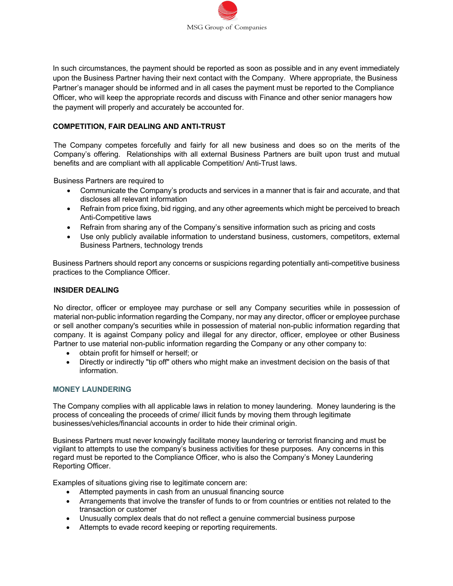

In such circumstances, the payment should be reported as soon as possible and in any event immediately upon the Business Partner having their next contact with the Company. Where appropriate, the Business Partner's manager should be informed and in all cases the payment must be reported to the Compliance Officer, who will keep the appropriate records and discuss with Finance and other senior managers how the payment will properly and accurately be accounted for.

## **COMPETITION, FAIR DEALING AND ANTI-TRUST**

The Company competes forcefully and fairly for all new business and does so on the merits of the Company's offering. Relationships with all external Business Partners are built upon trust and mutual benefits and are compliant with all applicable Competition/ Anti-Trust laws.

Business Partners are required to

- Communicate the Company's products and services in a manner that is fair and accurate, and that discloses all relevant information
- Refrain from price fixing, bid rigging, and any other agreements which might be perceived to breach Anti-Competitive laws
- Refrain from sharing any of the Company's sensitive information such as pricing and costs
- Use only publicly available information to understand business, customers, competitors, external Business Partners, technology trends

Business Partners should report any concerns or suspicions regarding potentially anti-competitive business practices to the Compliance Officer.

#### **INSIDER DEALING**

No director, officer or employee may purchase or sell any Company securities while in possession of material non-public information regarding the Company, nor may any director, officer or employee purchase or sell another company's securities while in possession of material non-public information regarding that company. It is against Company policy and illegal for any director, officer, employee or other Business Partner to use material non-public information regarding the Company or any other company to:

- obtain profit for himself or herself; or
- Directly or indirectly "tip off" others who might make an investment decision on the basis of that information.

#### **MONEY LAUNDERING**

The Company complies with all applicable laws in relation to money laundering. Money laundering is the process of concealing the proceeds of crime/ illicit funds by moving them through legitimate businesses/vehicles/financial accounts in order to hide their criminal origin.

Business Partners must never knowingly facilitate money laundering or terrorist financing and must be vigilant to attempts to use the company's business activities for these purposes. Any concerns in this regard must be reported to the Compliance Officer, who is also the Company's Money Laundering Reporting Officer.

Examples of situations giving rise to legitimate concern are:

- Attempted payments in cash from an unusual financing source
- Arrangements that involve the transfer of funds to or from countries or entities not related to the transaction or customer
- Unusually complex deals that do not reflect a genuine commercial business purpose
- Attempts to evade record keeping or reporting requirements.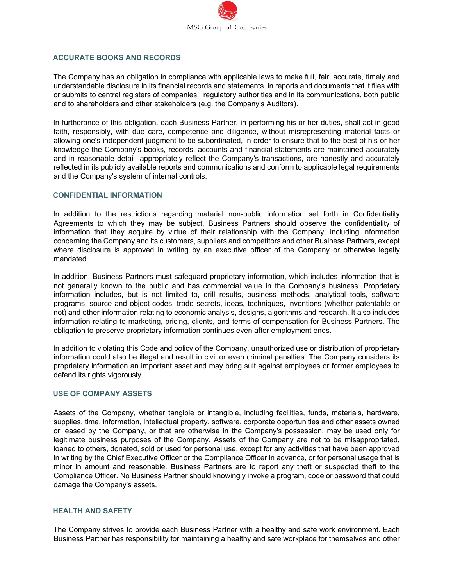

## **ACCURATE BOOKS AND RECORDS**

The Company has an obligation in compliance with applicable laws to make full, fair, accurate, timely and understandable disclosure in its financial records and statements, in reports and documents that it files with or submits to central registers of companies, regulatory authorities and in its communications, both public and to shareholders and other stakeholders (e.g. the Company's Auditors).

In furtherance of this obligation, each Business Partner, in performing his or her duties, shall act in good faith, responsibly, with due care, competence and diligence, without misrepresenting material facts or allowing one's independent judgment to be subordinated, in order to ensure that to the best of his or her knowledge the Company's books, records, accounts and financial statements are maintained accurately and in reasonable detail, appropriately reflect the Company's transactions, are honestly and accurately reflected in its publicly available reports and communications and conform to applicable legal requirements and the Company's system of internal controls.

#### **CONFIDENTIAL INFORMATION**

In addition to the restrictions regarding material non-public information set forth in Confidentiality Agreements to which they may be subject, Business Partners should observe the confidentiality of information that they acquire by virtue of their relationship with the Company, including information concerning the Company and its customers, suppliers and competitors and other Business Partners, except where disclosure is approved in writing by an executive officer of the Company or otherwise legally mandated.

In addition, Business Partners must safeguard proprietary information, which includes information that is not generally known to the public and has commercial value in the Company's business. Proprietary information includes, but is not limited to, drill results, business methods, analytical tools, software programs, source and object codes, trade secrets, ideas, techniques, inventions (whether patentable or not) and other information relating to economic analysis, designs, algorithms and research. It also includes information relating to marketing, pricing, clients, and terms of compensation for Business Partners. The obligation to preserve proprietary information continues even after employment ends.

In addition to violating this Code and policy of the Company, unauthorized use or distribution of proprietary information could also be illegal and result in civil or even criminal penalties. The Company considers its proprietary information an important asset and may bring suit against employees or former employees to defend its rights vigorously.

#### **USE OF COMPANY ASSETS**

Assets of the Company, whether tangible or intangible, including facilities, funds, materials, hardware, supplies, time, information, intellectual property, software, corporate opportunities and other assets owned or leased by the Company, or that are otherwise in the Company's possession, may be used only for legitimate business purposes of the Company. Assets of the Company are not to be misappropriated, loaned to others, donated, sold or used for personal use, except for any activities that have been approved in writing by the Chief Executive Officer or the Compliance Officer in advance, or for personal usage that is minor in amount and reasonable. Business Partners are to report any theft or suspected theft to the Compliance Officer. No Business Partner should knowingly invoke a program, code or password that could damage the Company's assets.

#### **HEALTH AND SAFETY**

The Company strives to provide each Business Partner with a healthy and safe work environment. Each Business Partner has responsibility for maintaining a healthy and safe workplace for themselves and other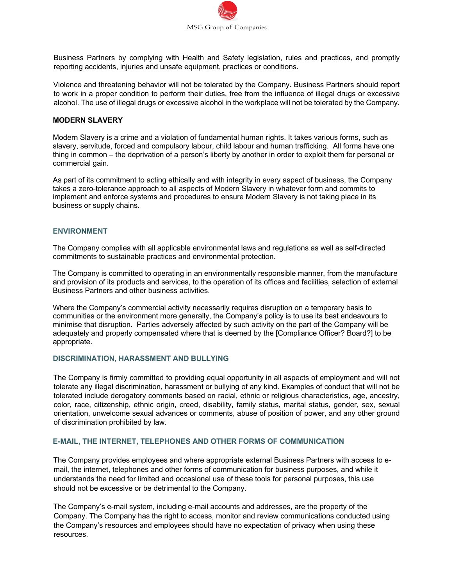

Business Partners by complying with Health and Safety legislation, rules and practices, and promptly reporting accidents, injuries and unsafe equipment, practices or conditions.

Violence and threatening behavior will not be tolerated by the Company. Business Partners should report to work in a proper condition to perform their duties, free from the influence of illegal drugs or excessive alcohol. The use of illegal drugs or excessive alcohol in the workplace will not be tolerated by the Company.

#### **MODERN SLAVERY**

Modern Slavery is a crime and a violation of fundamental human rights. It takes various forms, such as slavery, servitude, forced and compulsory labour, child labour and human trafficking. All forms have one thing in common – the deprivation of a person's liberty by another in order to exploit them for personal or commercial gain.

As part of its commitment to acting ethically and with integrity in every aspect of business, the Company takes a zero-tolerance approach to all aspects of Modern Slavery in whatever form and commits to implement and enforce systems and procedures to ensure Modern Slavery is not taking place in its business or supply chains.

#### **ENVIRONMENT**

The Company complies with all applicable environmental laws and regulations as well as self-directed commitments to sustainable practices and environmental protection.

The Company is committed to operating in an environmentally responsible manner, from the manufacture and provision of its products and services, to the operation of its offices and facilities, selection of external Business Partners and other business activities.

Where the Company's commercial activity necessarily requires disruption on a temporary basis to communities or the environment more generally, the Company's policy is to use its best endeavours to minimise that disruption. Parties adversely affected by such activity on the part of the Company will be adequately and properly compensated where that is deemed by the [Compliance Officer? Board?] to be appropriate.

#### **DISCRIMINATION, HARASSMENT AND BULLYING**

The Company is firmly committed to providing equal opportunity in all aspects of employment and will not tolerate any illegal discrimination, harassment or bullying of any kind. Examples of conduct that will not be tolerated include derogatory comments based on racial, ethnic or religious characteristics, age, ancestry, color, race, citizenship, ethnic origin, creed, disability, family status, marital status, gender, sex, sexual orientation, unwelcome sexual advances or comments, abuse of position of power, and any other ground of discrimination prohibited by law.

#### **E-MAIL, THE INTERNET, TELEPHONES AND OTHER FORMS OF COMMUNICATION**

The Company provides employees and where appropriate external Business Partners with access to email, the internet, telephones and other forms of communication for business purposes, and while it understands the need for limited and occasional use of these tools for personal purposes, this use should not be excessive or be detrimental to the Company.

The Company's e-mail system, including e-mail accounts and addresses, are the property of the Company. The Company has the right to access, monitor and review communications conducted using the Company's resources and employees should have no expectation of privacy when using these resources.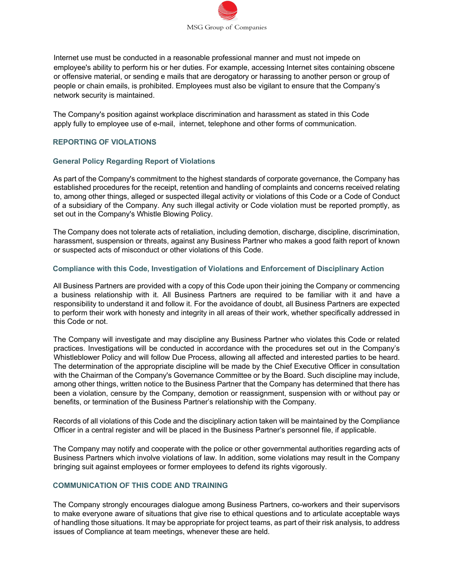

Internet use must be conducted in a reasonable professional manner and must not impede on employee's ability to perform his or her duties. For example, accessing Internet sites containing obscene or offensive material, or sending e mails that are derogatory or harassing to another person or group of people or chain emails, is prohibited. Employees must also be vigilant to ensure that the Company's network security is maintained.

The Company's position against workplace discrimination and harassment as stated in this Code apply fully to employee use of e-mail, internet, telephone and other forms of communication.

## **REPORTING OF VIOLATIONS**

### **General Policy Regarding Report of Violations**

As part of the Company's commitment to the highest standards of corporate governance, the Company has established procedures for the receipt, retention and handling of complaints and concerns received relating to, among other things, alleged or suspected illegal activity or violations of this Code or a Code of Conduct of a subsidiary of the Company. Any such illegal activity or Code violation must be reported promptly, as set out in the Company's Whistle Blowing Policy.

The Company does not tolerate acts of retaliation, including demotion, discharge, discipline, discrimination, harassment, suspension or threats, against any Business Partner who makes a good faith report of known or suspected acts of misconduct or other violations of this Code.

#### **Compliance with this Code, Investigation of Violations and Enforcement of Disciplinary Action**

All Business Partners are provided with a copy of this Code upon their joining the Company or commencing a business relationship with it. All Business Partners are required to be familiar with it and have a responsibility to understand it and follow it. For the avoidance of doubt, all Business Partners are expected to perform their work with honesty and integrity in all areas of their work, whether specifically addressed in this Code or not.

The Company will investigate and may discipline any Business Partner who violates this Code or related practices. Investigations will be conducted in accordance with the procedures set out in the Company's Whistleblower Policy and will follow Due Process, allowing all affected and interested parties to be heard. The determination of the appropriate discipline will be made by the Chief Executive Officer in consultation with the Chairman of the Company's Governance Committee or by the Board. Such discipline may include, among other things, written notice to the Business Partner that the Company has determined that there has been a violation, censure by the Company, demotion or reassignment, suspension with or without pay or benefits, or termination of the Business Partner's relationship with the Company.

Records of all violations of this Code and the disciplinary action taken will be maintained by the Compliance Officer in a central register and will be placed in the Business Partner's personnel file, if applicable.

The Company may notify and cooperate with the police or other governmental authorities regarding acts of Business Partners which involve violations of law. In addition, some violations may result in the Company bringing suit against employees or former employees to defend its rights vigorously.

## **COMMUNICATION OF THIS CODE AND TRAINING**

The Company strongly encourages dialogue among Business Partners, co-workers and their supervisors to make everyone aware of situations that give rise to ethical questions and to articulate acceptable ways of handling those situations. It may be appropriate for project teams, as part of their risk analysis, to address issues of Compliance at team meetings, whenever these are held.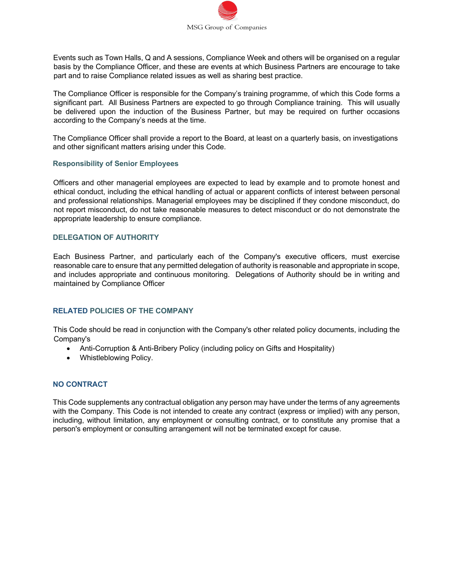

Events such as Town Halls, Q and A sessions, Compliance Week and others will be organised on a regular basis by the Compliance Officer, and these are events at which Business Partners are encourage to take part and to raise Compliance related issues as well as sharing best practice.

The Compliance Officer is responsible for the Company's training programme, of which this Code forms a significant part. All Business Partners are expected to go through Compliance training. This will usually be delivered upon the induction of the Business Partner, but may be required on further occasions according to the Company's needs at the time.

The Compliance Officer shall provide a report to the Board, at least on a quarterly basis, on investigations and other significant matters arising under this Code.

#### **Responsibility of Senior Employees**

Officers and other managerial employees are expected to lead by example and to promote honest and ethical conduct, including the ethical handling of actual or apparent conflicts of interest between personal and professional relationships. Managerial employees may be disciplined if they condone misconduct, do not report misconduct, do not take reasonable measures to detect misconduct or do not demonstrate the appropriate leadership to ensure compliance.

### **DELEGATION OF AUTHORITY**

Each Business Partner, and particularly each of the Company's executive officers, must exercise reasonable care to ensure that any permitted delegation of authority is reasonable and appropriate in scope, and includes appropriate and continuous monitoring. Delegations of Authority should be in writing and maintained by Compliance Officer

## **RELATED POLICIES OF THE COMPANY**

This Code should be read in conjunction with the Company's other related policy documents, including the Company's

- Anti-Corruption & Anti-Bribery Policy (including policy on Gifts and Hospitality)
- Whistleblowing Policy.

## **NO CONTRACT**

This Code supplements any contractual obligation any person may have under the terms of any agreements with the Company. This Code is not intended to create any contract (express or implied) with any person, including, without limitation, any employment or consulting contract, or to constitute any promise that a person's employment or consulting arrangement will not be terminated except for cause.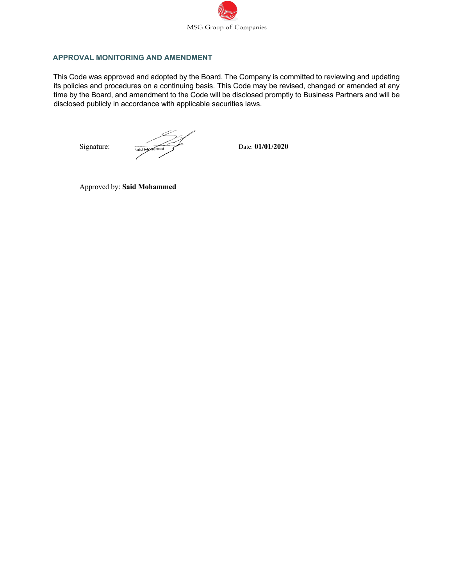

## **APPROVAL MONITORING AND AMENDMENT**

This Code was approved and adopted by the Board. The Company is committed to reviewing and updating its policies and procedures on a continuing basis. This Code may be revised, changed or amended at any time by the Board, and amendment to the Code will be disclosed promptly to Business Partners and will be disclosed publicly in accordance with applicable securities laws.

Signature:  $\frac{1}{\text{Said M}_\text{pH} \cdot \text{Sand M}_\text{pH}}$  Date: **01/01/2020** 

Approved by: **Said Mohammed**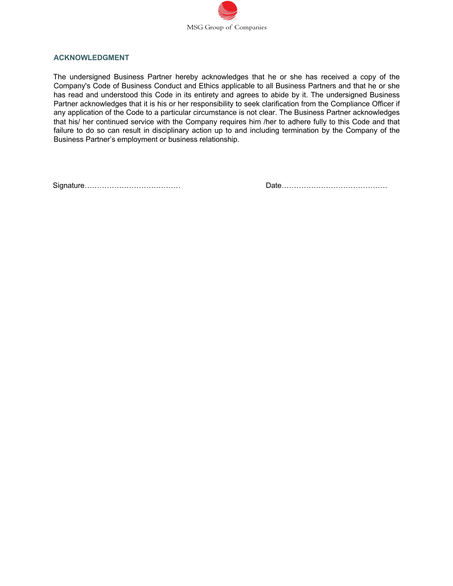

## **ACKNOWLEDGMENT**

The undersigned Business Partner hereby acknowledges that he or she has received a copy of the Company's Code of Business Conduct and Ethics applicable to all Business Partners and that he or she has read and understood this Code in its entirety and agrees to abide by it. The undersigned Business Partner acknowledges that it is his or her responsibility to seek clarification from the Compliance Officer if any application of the Code to a particular circumstance is not clear. The Business Partner acknowledges that his/ her continued service with the Company requires him /her to adhere fully to this Code and that failure to do so can result in disciplinary action up to and including termination by the Company of the Business Partner's employment or business relationship.

Signature………………………………… Date…………………………………….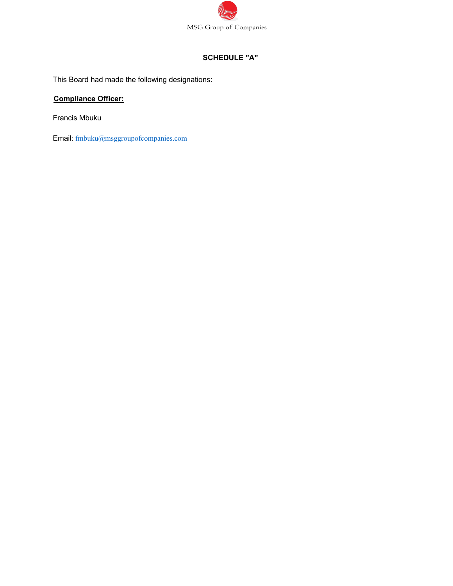

## **SCHEDULE "A"**

This Board had made the following designations:

# **Compliance Officer:**

Francis Mbuku

Email: fmbuku@msggroupofcompanies.com